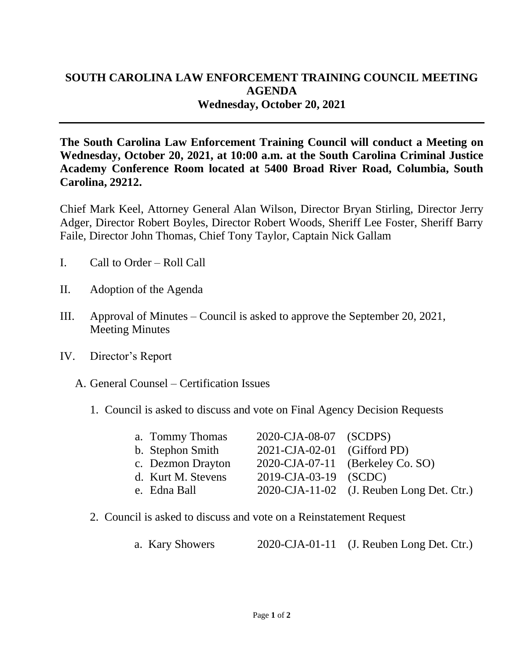## **SOUTH CAROLINA LAW ENFORCEMENT TRAINING COUNCIL MEETING AGENDA Wednesday, October 20, 2021**

**The South Carolina Law Enforcement Training Council will conduct a Meeting on Wednesday, October 20, 2021, at 10:00 a.m. at the South Carolina Criminal Justice Academy Conference Room located at 5400 Broad River Road, Columbia, South Carolina, 29212.** 

Chief Mark Keel, Attorney General Alan Wilson, Director Bryan Stirling, Director Jerry Adger, Director Robert Boyles, Director Robert Woods, Sheriff Lee Foster, Sheriff Barry Faile, Director John Thomas, Chief Tony Taylor, Captain Nick Gallam

- I. Call to Order Roll Call
- II. Adoption of the Agenda
- III. Approval of Minutes Council is asked to approve the September 20, 2021, Meeting Minutes
- IV. Director's Report
	- A. General Counsel Certification Issues
		- 1. Council is asked to discuss and vote on Final Agency Decision Requests

| a. Tommy Thomas    | 2020-CJA-08-07 (SCDPS)      |                                           |
|--------------------|-----------------------------|-------------------------------------------|
| b. Stephon Smith   | 2021-CJA-02-01 (Gifford PD) |                                           |
| c. Dezmon Drayton  |                             | 2020-CJA-07-11 (Berkeley Co. SO)          |
| d. Kurt M. Stevens | 2019-CJA-03-19 (SCDC)       |                                           |
| e. Edna Ball       |                             | 2020-CJA-11-02 (J. Reuben Long Det. Ctr.) |

2. Council is asked to discuss and vote on a Reinstatement Request

| a. Kary Showers |  | 2020-CJA-01-11 (J. Reuben Long Det. Ctr.) |
|-----------------|--|-------------------------------------------|
|-----------------|--|-------------------------------------------|